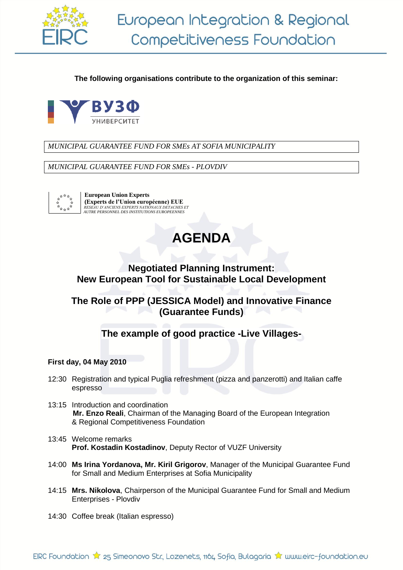

**The following organisations contribute to the organization of this seminar:**



*MUNICIPAL GUARANTEE FUND FOR SMEs AT SOFIA MUNICIPALITY*

*MUNICIPAL GUARANTEE FUND FOR SMEs - PLOVDIV*



 **European Union Experts (Experts de l'Union européenne) EUE**   *RESEAU D'ANCIENS EXPERTS NATIONAUX DETACHES ET AUTRE PERSONNEL DES INSTITUTIONS EUROPEENNES* 

# **AGENDA**

## **Negotiated Planning Instrument: New European Tool for Sustainable Local Development**

# **The Role of PPP (JESSICA Model) and Innovative Finance (Guarantee Funds)**

**The example of good practice -Live Villages-**

## **First day, 04 May 2010**

- 12:30 Registration and typical Puglia refreshment (pizza and panzerotti) and Italian caffe espresso
- 13:15 Introduction and coordination **Mr. Enzo Reali**, Chairman of the Managing Board of the European Integration & Regional Competitiveness Foundation
- 13:45 Welcome remarks **Prof. Kostadin Kostadinov**, Deputy Rector of VUZF University
- 14:00 **Ms Irina Yordanova, Mr. Kiril Grigorov**, Manager of the Municipal Guarantee Fund for Small and Medium Enterprises at Sofia Municipality
- 14:15 **Mrs. Nikolova**, Chairperson of the Municipal Guarantee Fund for Small and Medium Enterprises - Plovdiv
- 14:30 Coffee break (Italian espresso)